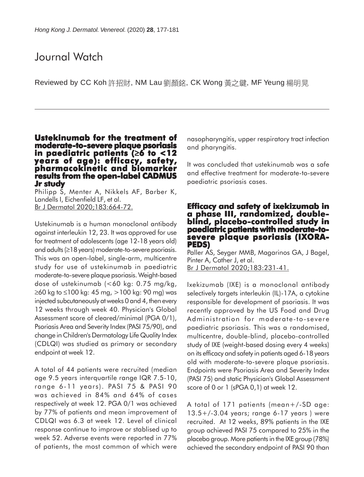# Journal Watch

Reviewed by CC Koh 許招財, NM Lau 劉顏銘, CK Wong 黃之鍵, MF Yeung 楊明晃

## **Ustekinumab for the treatment of Ustekinumab for moderate-to-severe plaque psoriasis in paediatric patients ( in paediatric** ≥**6 to <12 years of age): efficacy, safety, years age): efficacy, pharmacokinetic and biomarker results from the open-label CADMUS Jr study**

Philipp S, Menter A, Nikkels AF, Barber K, Landells I, Eichenfield LF, et al. Br J Dermatol 2020;183:664-72.

Ustekinumab is a human monoclonal antibody against interleukin 12, 23. It was approved for use for treatment of adolescents (age 12-18 years old) and adults (≥18 years) moderate-to-severe psoriasis. This was an open-label, single-arm, multicentre study for use of ustekinumab in paediatric moderate-to-severe plaque psoriasis. Weight-based dose of ustekinumab (<60 kg: 0.75 mg/kg, ≥60 kg to ≤100 kg: 45 mg, >100 kg: 90 mg) was injected subcutaneously at weeks 0 and 4, then every 12 weeks through week 40. Physician's Global Assessment score of cleared/minimal (PGA 0/1), Psoriasis Area and Severity Index (PASI 75/90), and change in Children's Dermatology Life Quality Index (CDLQI) was studied as primary or secondary endpoint at week 12.

A total of 44 patients were recruited (median age 9.5 years interquartile range IQR 7.5-10, range 6-11 years). PASI 75 & PASI 90 was achieved in 84% and 64% of cases respectively at week 12. PGA 0/1 was achieved by 77% of patients and mean improvement of CDLQI was 6.3 at week 12. Level of clinical response continue to improve or stablised up to week 52. Adverse events were reported in 77% of patients, the most common of which were

nasopharyngitis, upper respiratory tract infection and pharyngitis.

It was concluded that ustekinumab was a safe and effective treatment for moderate-to-severe paediatric psoriasis cases.

## **Efficacy and safety of ixekizumab in a phase III, randomized, doubleblind, placebo-controlled study in paediatric patients with moderate-tosevere plaque psoriasis (IXORA- PEDS)**

Paller AS, Seyger MMB, Magarinos GA, J Bagel, Pinter A, Cather J, et al. Br J Dermatol 2020;183:231-41.

Ixekizumab (IXE) is a monoclonal antibody selectively targets interleukin (IL)-17A, a cytokine responsible for development of psoriasis. It was recently approved by the US Food and Drug Administration for moderate-to-severe paediatric psoriasis. This was a randomised, multicentre, double-blind, placebo-controlled study of IXE (weight-based dosing every 4 weeks) on its efficacy and safety in patients aged 6-18 years old with moderate-to-severe plaque psoriasis. Endpoints were Psoriasis Area and Severity Index (PASI 75) and static Physician's Global Assessment score of 0 or 1 (sPGA 0,1) at week 12.

A total of 171 patients (mean+/-SD age: 13.5+/-3.04 years; range 6-17 years ) were recruited. At 12 weeks, 89% patients in the IXE group achieved PASI 75 compared to 25% in the placebo group. More patients in the IXE group (78%) achieved the secondary endpoint of PASI 90 than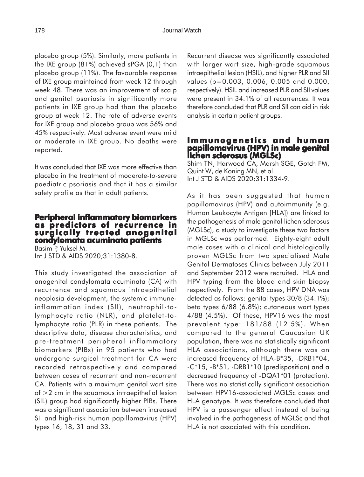placebo group (5%). Similarly, more patients in the IXE group (81%) achieved sPGA (0,1) than placebo group (11%). The favourable response of IXE group maintained from week 12 through week 48. There was an improvement of scalp and genital psoriasis in significantly more patients in IXE group had than the placebo group at week 12. The rate of adverse events for IXE group and placebo group was 56% and 45% respectively. Most adverse event were mild or moderate in IXE group. No deaths were reported.

It was concluded that IXE was more effective than placebo in the treatment of moderate-to-severe paediatric psoriasis and that it has a similar safety profile as that in adult patients.

### **Peripheral inflammatory biomarkers as predictors of recurrence in surgically treated anogenital surgically treated condylomata acuminata patients**

Basim P, Yuksel M. Int J STD & AIDS 2020;31:1380-8.

This study investigated the association of anogenital condylomata acuminata (CA) with recurrence and squamous intraepithelial neoplasia development, the systemic immuneinflammation index (SII), neutrophil-tolymphocyte ratio (NLR), and platelet-tolymphocyte ratio (PLR) in these patients. The descriptive data, disease characteristics, and pre-treatment peripheral inflammatory biomarkers (PIBs) in 95 patients who had undergone surgical treatment for CA were recorded retrospectively and compared between cases of recurrent and non-recurrent CA. Patients with a maximum genital wart size of >2 cm in the squamous intraepithelial lesion (SIL) group had significantly higher PIBs. There was a significant association between increased SII and high-risk human papillomavirus (HPV) types 16, 18, 31 and 33.

Recurrent disease was significantly associated with larger wart size, high-grade squamous intraepithelial lesion (HSIL), and higher PLR and SII values (p=0.003, 0.006, 0.005 and 0.000, respectively). HSIL and increased PLR and SII values were present in 34.1% of all recurrences. It was therefore concluded that PLR and SII can aid in risk analysis in certain patient groups.

#### **Immunogenetics and human papillomavirus (HPV) in male genital papillomavirus (HPV) in genital lichen sclerosus (MGLSc) sclerosus**

Shim TN, Harwood CA, Marsh SGE, Gotch FM, Quint W, de Koning MN, et al. Int J STD & AIDS 2020;31:1334-9.

As it has been suggested that human papillomavirus (HPV) and autoimmunity (e.g. Human Leukocyte Antigen [HLA]) are linked to the pathogenesis of male genital lichen sclerosus (MGLSc), a study to investigate these two factors in MGLSc was performed. Eighty-eight adult male cases with a clinical and histologically proven MGLSc from two specialised Male Genital Dermatoses Clinics between July 2011 and September 2012 were recruited. HLA and HPV typing from the blood and skin biopsy respectively. From the 88 cases, HPV DNA was detected as follows: genital types 30/8 (34.1%); beta types 6/88 (6.8%); cutaneous wart types 4/88 (4.5%). Of these, HPV16 was the most prevalent type: 181/88 (12.5%). When compared to the general Caucasian UK population, there was no statistically significant HLA associations, although there was an increased frequency of HLA-B\*35, -DRB1\*04, -C\*15, -B\*51, -DRB1\*10 (predisposition) and a decreased frequency of -DQA1\*01 (protection). There was no statistically significant association between HPV16-associated MGLSc cases and HLA genotype. It was therefore concluded that HPV is a passenger effect instead of being involved in the pathogenesis of MGLSc and that HLA is not associated with this condition.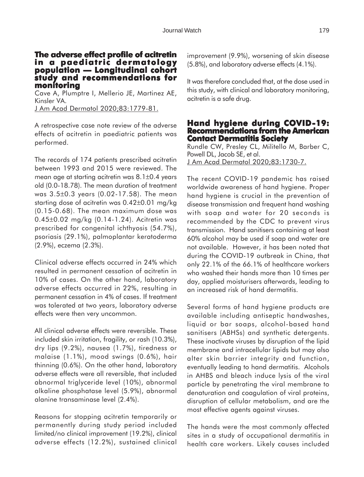#### **The adverse effect profile of acitretin in a paediatric dermatology population — Longitudinal cohort population — Longitudinal cohort study and recommendations for monitoring**

Cave A, Plumptre I, Mellerio JE, Martinez AE, Kinsler VA. J Am Acad Dermatol 2020;83:1779-81.

A retrospective case note review of the adverse effects of acitretin in paediatric patients was performed.

The records of 174 patients prescribed acitretin between 1993 and 2015 were reviewed. The mean age at starting acitretin was 8.1±0.4 years old (0.0-18.78). The mean duration of treatment was 3.5±0.3 years (0.02-17.58). The mean starting dose of acitretin was 0.42±0.01 mg/kg (0.15-0.68). The mean maximum dose was 0.45±0.02 mg/kg (0.14-1.24). Acitretin was prescribed for congenital ichthyosis (54.7%), psoriasis (29.1%), palmoplantar keratoderma (2.9%), eczema (2.3%).

Clinical adverse effects occurred in 24% which resulted in permanent cessation of acitretin in 10% of cases. On the other hand, laboratory adverse effects occurred in 22%, resulting in permanent cessation in 4% of cases. If treatment was tolerated at two years, laboratory adverse effects were then very uncommon.

All clinical adverse effects were reversible. These included skin irritation, fragility, or rash (10.3%), dry lips (9.2%), nausea (1.7%), tiredness or malaise (1.1%), mood swings (0.6%), hair thinning (0.6%). On the other hand, laboratory adverse effects were all reversible, that included abnormal triglyceride level (10%), abnormal alkaline phosphatase level (5.9%), abnormal alanine transaminase level (2.4%).

Reasons for stopping acitretin temporarily or permanently during study period included limited/no clinical improvement (19.2%), clinical adverse effects (12.2%), sustained clinical

improvement (9.9%), worsening of skin disease (5.8%), and laboratory adverse effects (4.1%).

It was therefore concluded that, at the dose used in this study, with clinical and laboratory monitoring, acitretin is a safe drug.

#### **Hand hygiene during COVID-19: Recommendations from the American Contact Dermatitis Society**

Rundle CW, Presley CL, Militello M, Barber C, Powell DL, Jacob SE, et al. J Am Acad Dermatol 2020;83:1730-7.

The recent COVID-19 pandemic has raised worldwide awareness of hand hygiene. Proper hand hygiene is crucial in the prevention of disease transmission and frequent hand washing with soap and water for 20 seconds is recommended by the CDC to prevent virus transmission. Hand sanitisers containing at least 60% alcohol may be used if soap and water are not available. However, it has been noted that during the COVID-19 outbreak in China, that only 22.1% of the 66.1% of healthcare workers who washed their hands more than 10 times per day, applied moisturisers afterwards, leading to an increased risk of hand dermatitis.

Several forms of hand hygiene products are available including antiseptic handwashes, liquid or bar soaps, alcohol-based hand sanitisers (ABHSs) and synthetic detergents. These inactivate viruses by disruption of the lipid membrane and intracellular lipids but may also alter skin barrier integrity and function, eventually leading to hand dermatitis. Alcohols in AHBS and bleach induce lysis of the viral particle by penetrating the viral membrane to denaturation and coagulation of viral proteins, disruption of cellular metabolism, and are the most effective agents against viruses.

The hands were the most commonly affected sites in a study of occupational dermatitis in health care workers. Likely causes included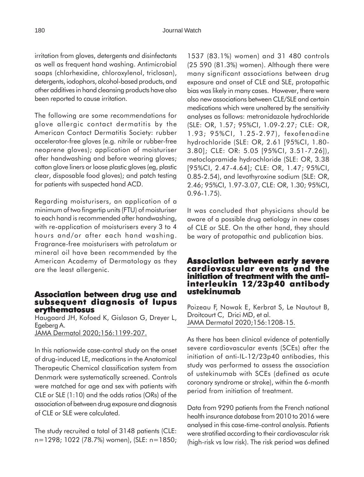irritation from gloves, detergents and disinfectants as well as frequent hand washing. Antimicrobial soaps (chlorhexidine, chloroxylenol, triclosan), detergents, iodophors, alcohol-based products, and other additives in hand cleansing products have also been reported to cause irritation.

The following are some recommendations for glove allergic contact dermatitis by the American Contact Dermatitis Society: rubber accelerator-free gloves (e.g. nitrile or rubber-free neoprene gloves); application of moisturiser after handwashing and before wearing gloves; cotton glove liners or loose plastic gloves (eg, plastic clear, disposable food gloves); and patch testing for patients with suspected hand ACD.

Regarding moisturisers, an application of a minimum of two fingertip units (FTU) of moisturiser to each hand is recommended after handwashing, with re-application of moisturisers every 3 to 4 hours and/or after each hand washing. Fragrance-free moisturisers with petrolatum or mineral oil have been recommended by the American Academy of Dermatology as they are the least allergenic.

#### **Association between drug use and subsequent diagnosis of lupus erythematosus**

Haugaard JH, Kofoed K, Gislason G, Dreyer L, Egeberg A. JAMA Dermatol 2020;156:1199-207.

In this nationwide case-control study on the onset of drug-induced LE, medications in the Anatomical Therapeutic Chemical classification system from Denmark were systematically screened. Controls were matched for age and sex with patients with CLE or SLE (1:10) and the odds ratios (ORs) of the association of between drug exposure and diagnosis of CLE or SLE were calculated.

The study recruited a total of 3148 patients (CLE: n=1298; 1022 (78.7%) women), (SLE: n=1850;

1537 (83.1%) women) and 31 480 controls (25 590 (81.3%) women). Although there were many significant associations between drug exposure and onset of CLE and SLE, protopathic bias was likely in many cases. However, there were also new associations between CLE/SLE and certain medications which were unaltered by the sensitivity analyses as follows: metronidazole hydrochloride (SLE: OR, 1.57; 95%CI, 1.09-2.27; CLE: OR, 1.93; 95%CI, 1.25-2.97), fexofenadine hydrochloride (SLE: OR, 2.61 [95%CI, 1.80- 3.80]; CLE: OR: 5.05 [95%CI, 3.51-7.26]), metoclopramide hydrochloride (SLE: OR, 3.38 [95%CI, 2.47-4.64]; CLE: OR, 1.47; 95%CI, 0.85-2.54), and levothyroxine sodium (SLE: OR, 2.46; 95%CI, 1.97-3.07, CLE: OR, 1.30; 95%CI, 0.96-1.75).

It was concluded that physicians should be aware of a possible drug aetiology in new cases of CLE or SLE. On the other hand, they should be wary of protopathic and publication bias.

#### **Association between early severe cardiovascular events and the initiation of treatment with the antiinterleukin 12/23p40 antibody ustekinumab**

Poizeau F, Nowak E, Kerbrat S, Le Nautout B, Droitcourt C, Drici MD, et al. JAMA Dermatol 2020;156:1208-15.

As there has been clinical evidence of potentially severe cardiovascular events (SCEs) after the initiation of anti-IL-12/23p40 antibodies, this study was performed to assess the association of ustekinumab with SCEs (defined as acute coronary syndrome or stroke), within the 6-month period from initiation of treatment.

Data from 9290 patients from the French national health insurance database from 2010 to 2016 were analysed in this case-time-control analysis. Patients were stratified according to their cardiovascular risk (high-risk vs low risk). The risk period was defined